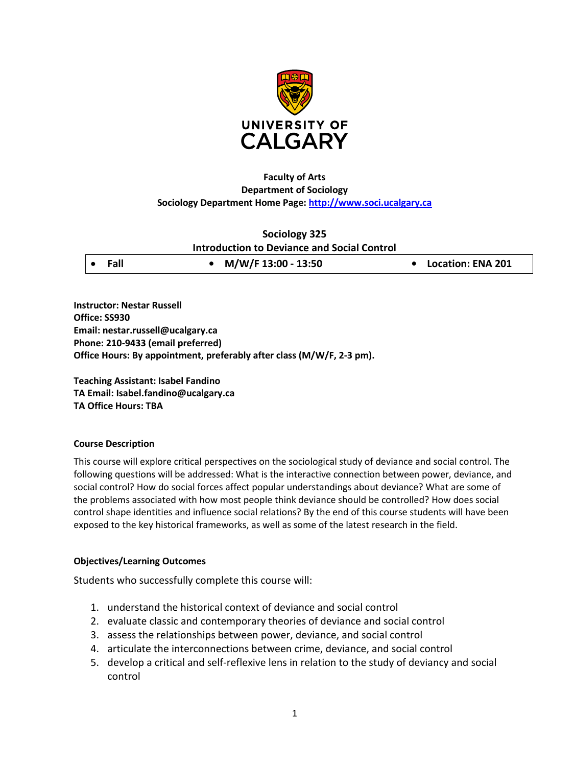

## **Faculty of Arts Department of Sociology Sociology Department Home Page: [http://www.soci.ucalgary.ca](http://www.soci.ucalgary.ca/)**

# **Sociology 325 Introduction to Deviance and Social Control**

**Instructor: Nestar Russell Office: SS930 Email: nestar.russell@ucalgary.ca Phone: 210-9433 (email preferred) Office Hours: By appointment, preferably after class (M/W/F, 2-3 pm).**

**Teaching Assistant: Isabel Fandino TA Email: Isabel.fandino@ucalgary.ca TA Office Hours: TBA**

## **Course Description**

This course will explore critical perspectives on the sociological study of deviance and social control. The following questions will be addressed: What is the interactive connection between power, deviance, and social control? How do social forces affect popular understandings about deviance? What are some of the problems associated with how most people think deviance should be controlled? How does social control shape identities and influence social relations? By the end of this course students will have been exposed to the key historical frameworks, as well as some of the latest research in the field.

# **Objectives/Learning Outcomes**

Students who successfully complete this course will:

- 1. understand the historical context of deviance and social control
- 2. evaluate classic and contemporary theories of deviance and social control
- 3. assess the relationships between power, deviance, and social control
- 4. articulate the interconnections between crime, deviance, and social control
- 5. develop a critical and self-reflexive lens in relation to the study of deviancy and social control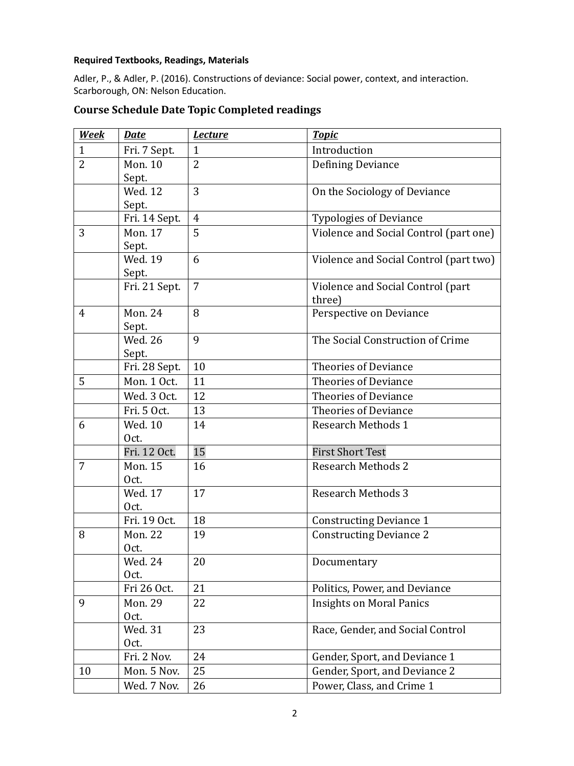## **Required Textbooks, Readings, Materials**

Adler, P., & Adler, P. (2016). Constructions of deviance: Social power, context, and interaction. Scarborough, ON: Nelson Education.

| <b>Week</b>    | <b>Date</b>             | <b>Lecture</b> | <b>Topic</b>                                |
|----------------|-------------------------|----------------|---------------------------------------------|
| $\mathbf{1}$   | Fri. 7 Sept.            | $\mathbf{1}$   | Introduction                                |
| $\overline{2}$ | <b>Mon. 10</b><br>Sept. | $\overline{2}$ | Defining Deviance                           |
|                | <b>Wed. 12</b><br>Sept. | 3              | On the Sociology of Deviance                |
|                | Fri. 14 Sept.           | $\overline{4}$ | <b>Typologies of Deviance</b>               |
| 3              | <b>Mon. 17</b>          | 5              | Violence and Social Control (part one)      |
|                | Sept.                   |                |                                             |
|                | Wed. 19<br>Sept.        | 6              | Violence and Social Control (part two)      |
|                | Fri. 21 Sept.           | 7              | Violence and Social Control (part<br>three) |
| $\overline{4}$ | <b>Mon. 24</b><br>Sept. | 8              | Perspective on Deviance                     |
|                | <b>Wed. 26</b><br>Sept. | 9              | The Social Construction of Crime            |
|                | Fri. 28 Sept.           | 10             | <b>Theories of Deviance</b>                 |
| 5              | Mon. 1 Oct.             | 11             | <b>Theories of Deviance</b>                 |
|                | Wed. 3 Oct.             | 12             | <b>Theories of Deviance</b>                 |
|                | Fri. 5 Oct.             | 13             | <b>Theories of Deviance</b>                 |
| 6              | Wed. 10<br>Oct.         | 14             | <b>Research Methods 1</b>                   |
|                | Fri. 12 Oct.            | 15             | <b>First Short Test</b>                     |
| $\overline{7}$ | <b>Mon. 15</b><br>Oct.  | 16             | <b>Research Methods 2</b>                   |
|                | Wed. 17<br>Oct.         | 17             | <b>Research Methods 3</b>                   |
|                | Fri. 19 Oct.            | 18             | <b>Constructing Deviance 1</b>              |
| 8              | <b>Mon. 22</b><br>Oct.  | 19             | <b>Constructing Deviance 2</b>              |
|                | Wed. 24<br>Oct.         | 20             | Documentary                                 |
|                | Fri 26 Oct.             | 21             | Politics, Power, and Deviance               |
| 9              | <b>Mon. 29</b><br>Oct.  | 22             | <b>Insights on Moral Panics</b>             |
|                | Wed. 31<br>Oct.         | 23             | Race, Gender, and Social Control            |
|                | Fri. 2 Nov.             | 24             | Gender, Sport, and Deviance 1               |
| 10             | Mon. 5 Nov.             | 25             | Gender, Sport, and Deviance 2               |
|                | Wed. 7 Nov.             | 26             | Power, Class, and Crime 1                   |

# **Course Schedule Date Topic Completed readings**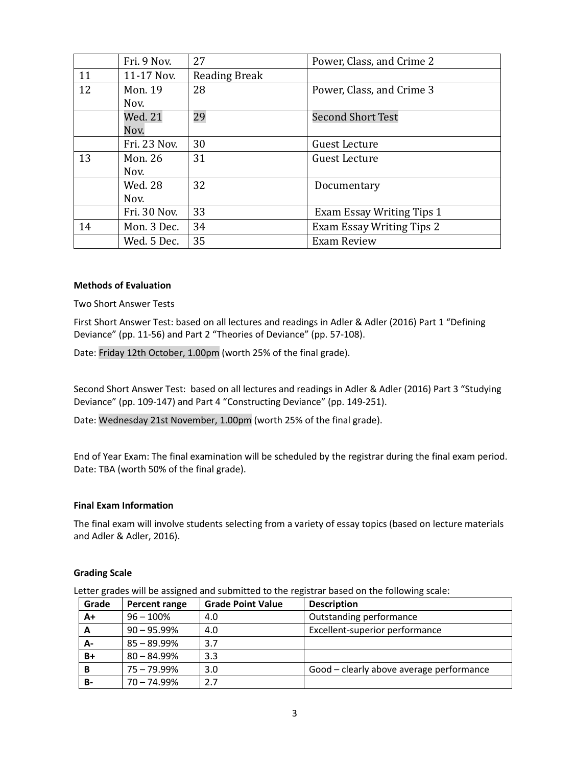|    | Fri. 9 Nov.    | 27                   | Power, Class, and Crime 2        |
|----|----------------|----------------------|----------------------------------|
| 11 | 11-17 Nov.     | <b>Reading Break</b> |                                  |
| 12 | Mon. 19        | 28                   | Power, Class, and Crime 3        |
|    | Nov.           |                      |                                  |
|    | Wed. 21        | 29                   | <b>Second Short Test</b>         |
|    | Nov.           |                      |                                  |
|    | Fri. 23 Nov.   | 30                   | <b>Guest Lecture</b>             |
| 13 | Mon. 26        | 31                   | <b>Guest Lecture</b>             |
|    | Nov.           |                      |                                  |
|    | <b>Wed. 28</b> | 32                   | Documentary                      |
|    | Nov.           |                      |                                  |
|    | Fri. 30 Nov.   | 33                   | <b>Exam Essay Writing Tips 1</b> |
| 14 | Mon. 3 Dec.    | 34                   | Exam Essay Writing Tips 2        |
|    | Wed. 5 Dec.    | 35                   | <b>Exam Review</b>               |

#### **Methods of Evaluation**

Two Short Answer Tests

First Short Answer Test: based on all lectures and readings in Adler & Adler (2016) Part 1 "Defining Deviance" (pp. 11-56) and Part 2 "Theories of Deviance" (pp. 57-108).

Date: Friday 12th October, 1.00pm (worth 25% of the final grade).

Second Short Answer Test: based on all lectures and readings in Adler & Adler (2016) Part 3 "Studying Deviance" (pp. 109-147) and Part 4 "Constructing Deviance" (pp. 149-251).

Date: Wednesday 21st November, 1.00pm (worth 25% of the final grade).

End of Year Exam: The final examination will be scheduled by the registrar during the final exam period. Date: TBA (worth 50% of the final grade).

#### **Final Exam Information**

The final exam will involve students selecting from a variety of essay topics (based on lecture materials and Adler & Adler, 2016).

#### **Grading Scale**

Letter grades will be assigned and submitted to the registrar based on the following scale:

| Grade | Percent range  | <b>Grade Point Value</b> | <b>Description</b>                       |
|-------|----------------|--------------------------|------------------------------------------|
| A+    | $96 - 100\%$   | 4.0                      | Outstanding performance                  |
| A     | $90 - 95.99\%$ | 4.0                      | Excellent-superior performance           |
| А-    | $85 - 89.99\%$ | 3.7                      |                                          |
| $B+$  | $80 - 84.99\%$ | 3.3                      |                                          |
| B     | $75 - 79.99\%$ | 3.0                      | Good – clearly above average performance |
| B-    | $70 - 74.99\%$ | 2.7                      |                                          |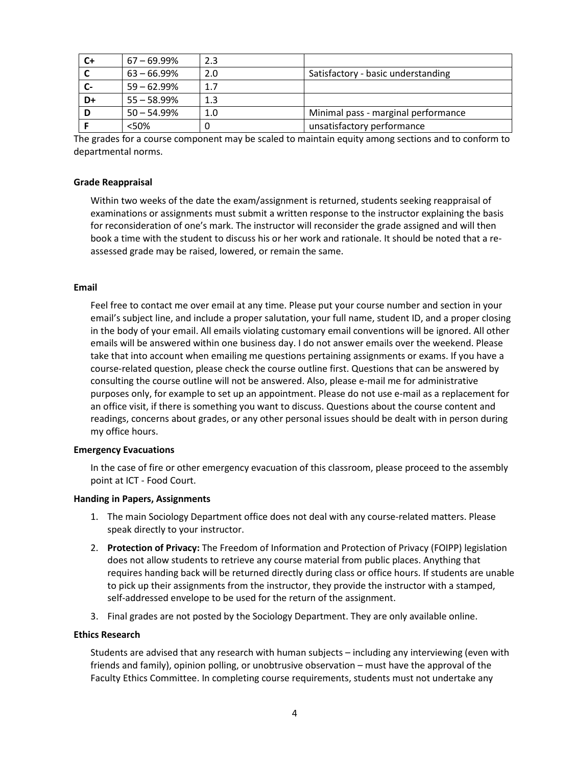| $C+$ | $67 - 69.99\%$ | 2.3 |                                     |
|------|----------------|-----|-------------------------------------|
|      | $63 - 66.99\%$ | 2.0 | Satisfactory - basic understanding  |
|      | $59 - 62.99\%$ | 1.7 |                                     |
| D+   | $55 - 58.99\%$ | 1.3 |                                     |
| D    | $50 - 54.99\%$ | 1.0 | Minimal pass - marginal performance |
|      | < 50%          |     | unsatisfactory performance          |

The grades for a course component may be scaled to maintain equity among sections and to conform to departmental norms.

#### **Grade Reappraisal**

Within two weeks of the date the exam/assignment is returned, students seeking reappraisal of examinations or assignments must submit a written response to the instructor explaining the basis for reconsideration of one's mark. The instructor will reconsider the grade assigned and will then book a time with the student to discuss his or her work and rationale. It should be noted that a reassessed grade may be raised, lowered, or remain the same.

#### **Email**

Feel free to contact me over email at any time. Please put your course number and section in your email's subject line, and include a proper salutation, your full name, student ID, and a proper closing in the body of your email. All emails violating customary email conventions will be ignored. All other emails will be answered within one business day. I do not answer emails over the weekend. Please take that into account when emailing me questions pertaining assignments or exams. If you have a course-related question, please check the course outline first. Questions that can be answered by consulting the course outline will not be answered. Also, please e-mail me for administrative purposes only, for example to set up an appointment. Please do not use e-mail as a replacement for an office visit, if there is something you want to discuss. Questions about the course content and readings, concerns about grades, or any other personal issues should be dealt with in person during my office hours.

#### **Emergency Evacuations**

In the case of fire or other emergency evacuation of this classroom, please proceed to the assembly point at ICT - Food Court.

#### **Handing in Papers, Assignments**

- 1. The main Sociology Department office does not deal with any course-related matters. Please speak directly to your instructor.
- 2. **Protection of Privacy:** The Freedom of Information and Protection of Privacy (FOIPP) legislation does not allow students to retrieve any course material from public places. Anything that requires handing back will be returned directly during class or office hours. If students are unable to pick up their assignments from the instructor, they provide the instructor with a stamped, self-addressed envelope to be used for the return of the assignment.
- 3. Final grades are not posted by the Sociology Department. They are only available online.

### **Ethics Research**

Students are advised that any research with human subjects – including any interviewing (even with friends and family), opinion polling, or unobtrusive observation – must have the approval of the Faculty Ethics Committee. In completing course requirements, students must not undertake any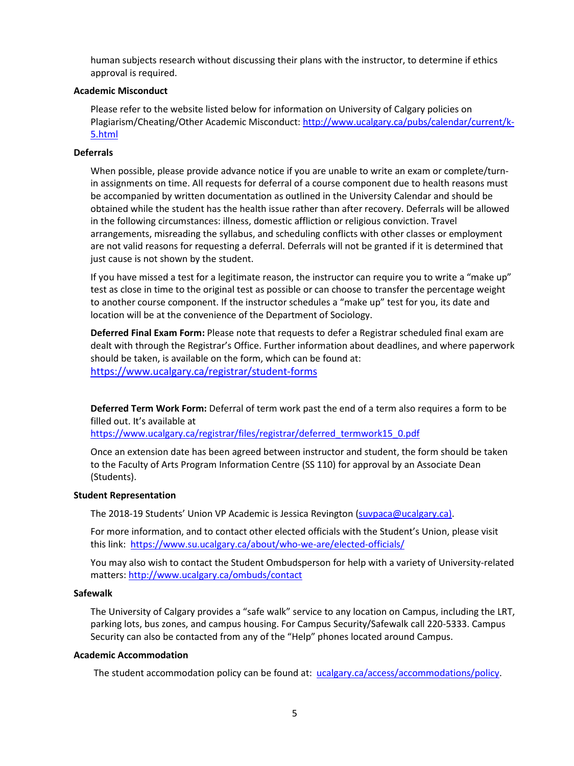human subjects research without discussing their plans with the instructor, to determine if ethics approval is required.

## **Academic Misconduct**

Please refer to the website listed below for information on University of Calgary policies on Plagiarism/Cheating/Other Academic Misconduct: [http://www.ucalgary.ca/pubs/calendar/current/k-](http://www.ucalgary.ca/pubs/calendar/current/k-5.html)[5.html](http://www.ucalgary.ca/pubs/calendar/current/k-5.html)

## **Deferrals**

When possible, please provide advance notice if you are unable to write an exam or complete/turnin assignments on time. All requests for deferral of a course component due to health reasons must be accompanied by written documentation as outlined in the University Calendar and should be obtained while the student has the health issue rather than after recovery. Deferrals will be allowed in the following circumstances: illness, domestic affliction or religious conviction. Travel arrangements, misreading the syllabus, and scheduling conflicts with other classes or employment are not valid reasons for requesting a deferral. Deferrals will not be granted if it is determined that just cause is not shown by the student.

If you have missed a test for a legitimate reason, the instructor can require you to write a "make up" test as close in time to the original test as possible or can choose to transfer the percentage weight to another course component. If the instructor schedules a "make up" test for you, its date and location will be at the convenience of the Department of Sociology.

**Deferred Final Exam Form:** Please note that requests to defer a Registrar scheduled final exam are dealt with through the Registrar's Office. Further information about deadlines, and where paperwork should be taken, is available on the form, which can be found at: <https://www.ucalgary.ca/registrar/student-forms>

**Deferred Term Work Form:** Deferral of term work past the end of a term also requires a form to be filled out. It's available at

[https://www.ucalgary.ca/registrar/files/registrar/deferred\\_termwork15\\_0.pdf](https://www.ucalgary.ca/registrar/files/registrar/deferred_termwork15_0.pdf) 

Once an extension date has been agreed between instructor and student, the form should be taken to the Faculty of Arts Program Information Centre (SS 110) for approval by an Associate Dean (Students).

## **Student Representation**

The 2018-19 Students' Union VP Academic is Jessica Revington [\(suvpaca@ucalgary.ca\)](mailto:suvpaca@ucalgary.ca).

For more information, and to contact other elected officials with the Student's Union, please visit this link: <https://www.su.ucalgary.ca/about/who-we-are/elected-officials/>

You may also wish to contact the Student Ombudsperson for help with a variety of University-related matters:<http://www.ucalgary.ca/ombuds/contact>

## **Safewalk**

The University of Calgary provides a "safe walk" service to any location on Campus, including the LRT, parking lots, bus zones, and campus housing. For Campus Security/Safewalk call 220-5333. Campus Security can also be contacted from any of the "Help" phones located around Campus.

## **Academic Accommodation**

The student accommodation policy can be found at: [ucalgary.ca/access/accommodations/policy.](http://www.ucalgary.ca/access/accommodations/policy)